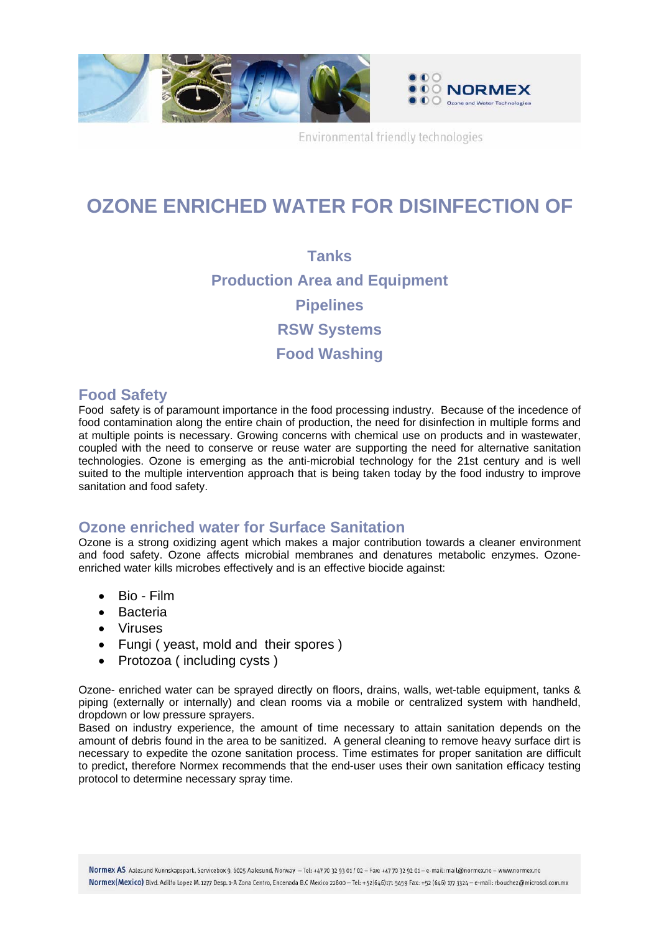

Environmental friendly technologies

## **OZONE ENRICHED WATER FOR DISINFECTION OF**

**Tanks Production Area and Equipment Pipelines RSW Systems Food Washing** 

## **Food Safety**

Food safety is of paramount importance in the food processing industry. Because of the incedence of food contamination along the entire chain of production, the need for disinfection in multiple forms and at multiple points is necessary. Growing concerns with chemical use on products and in wastewater, coupled with the need to conserve or reuse water are supporting the need for alternative sanitation technologies. Ozone is emerging as the anti-microbial technology for the 21st century and is well suited to the multiple intervention approach that is being taken today by the food industry to improve sanitation and food safety.

## **Ozone enriched water for Surface Sanitation**

Ozone is a strong oxidizing agent which makes a major contribution towards a cleaner environment and food safety. Ozone affects microbial membranes and denatures metabolic enzymes. Ozoneenriched water kills microbes effectively and is an effective biocide against:

- Bio Film
- Bacteria
- Viruses
- Fungi ( yeast, mold and their spores )
- Protozoa (including cysts)

Ozone- enriched water can be sprayed directly on floors, drains, walls, wet-table equipment, tanks & piping (externally or internally) and clean rooms via a mobile or centralized system with handheld, dropdown or low pressure sprayers.

Based on industry experience, the amount of time necessary to attain sanitation depends on the amount of debris found in the area to be sanitized. A general cleaning to remove heavy surface dirt is necessary to expedite the ozone sanitation process. Time estimates for proper sanitation are difficult to predict, therefore Normex recommends that the end-user uses their own sanitation efficacy testing protocol to determine necessary spray time.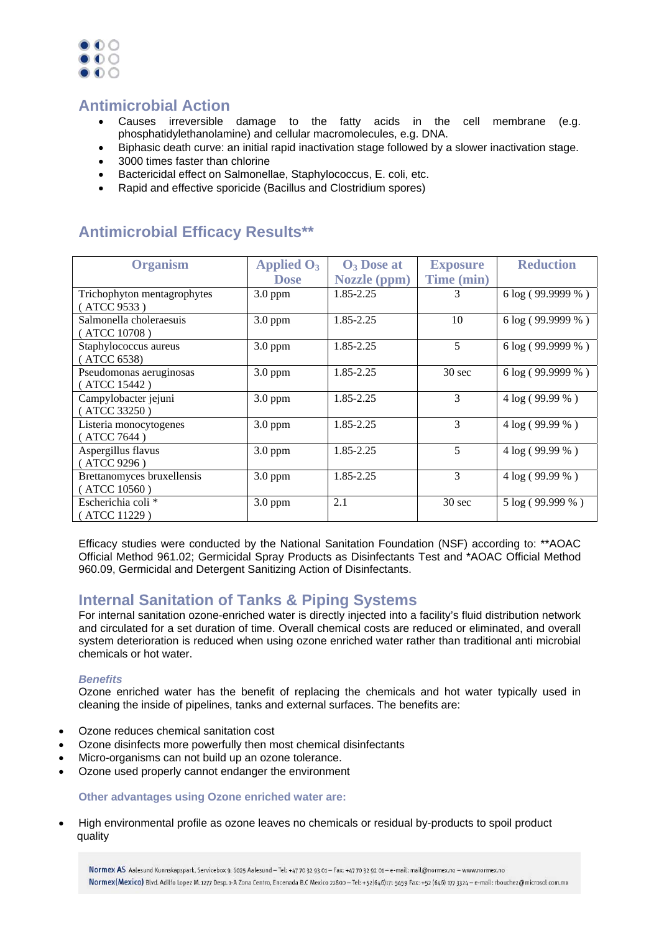

## **Antimicrobial Action**

- Causes irreversible damage to the fatty acids in the cell membrane (e.g. phosphatidylethanolamine) and cellular macromolecules, e.g. DNA.
- Biphasic death curve: an initial rapid inactivation stage followed by a slower inactivation stage.
- 3000 times faster than chlorine
- Bactericidal effect on Salmonellae, Staphylococcus, E. coli, etc.
- Rapid and effective sporicide (Bacillus and Clostridium spores)

### **Organism Applied O3 Dose O3 Dose at Nozzle (ppm) Exposure Time (min) Reduction**  Trichophyton mentagrophytes ( ATCC 9533 )  $3.0 \text{ ppm}$  1.85-2.25 3 6 log ( 99.9999 % ) Salmonella choleraesuis ( ATCC 10708 )  $3.0 \text{ ppm}$  1.85-2.25 10 6 log ( 99.9999 % ) Staphylococcus aureus ( ATCC 6538)  $3.0 \text{ ppm}$  1.85-2.25 5 6 log (99.9999 %) Pseudomonas aeruginosas ( ATCC 15442 )  $3.0 \text{ ppm}$  1.85-2.25 30 sec 6 log (99.9999 %) Campylobacter jejuni ( ATCC 33250 )  $3.0 \text{ ppm}$  1.85-2.25  $\frac{3.0 \text{ ppm}}{3}$  4 log ( 99.99 % ) Listeria monocytogenes ( ATCC 7644 ) 3.0 ppm  $1.85 - 2.25$  3 4 log ( 99.99 % ) Aspergillus flavus ( ATCC 9296 ) 3.0 ppm  $1.85-2.25$   $5$   $4 \log (99.99\%)$ Brettanomyces bruxellensis ( ATCC 10560 ) 3.0 ppm  $1.85 - 2.25$  3 4 log ( 99.99 % ) Escherichia coli \* ( ATCC 11229 )  $3.0 \text{ ppm}$  2.1 30 sec 5 log (99.999 %)

## **Antimicrobial Efficacy Results\*\***

Efficacy studies were conducted by the National Sanitation Foundation (NSF) according to: \*\*AOAC Official Method 961.02; Germicidal Spray Products as Disinfectants Test and \*AOAC Official Method 960.09, Germicidal and Detergent Sanitizing Action of Disinfectants.

## **Internal Sanitation of Tanks & Piping Systems**

For internal sanitation ozone-enriched water is directly injected into a facility's fluid distribution network and circulated for a set duration of time. Overall chemical costs are reduced or eliminated, and overall system deterioration is reduced when using ozone enriched water rather than traditional anti microbial chemicals or hot water.

### *Benefits*

Ozone enriched water has the benefit of replacing the chemicals and hot water typically used in cleaning the inside of pipelines, tanks and external surfaces. The benefits are:

- Ozone reduces chemical sanitation cost
- Ozone disinfects more powerfully then most chemical disinfectants
- Micro-organisms can not build up an ozone tolerance.
- Ozone used properly cannot endanger the environment

### **Other advantages using Ozone enriched water are:**

• High environmental profile as ozone leaves no chemicals or residual by-products to spoil product quality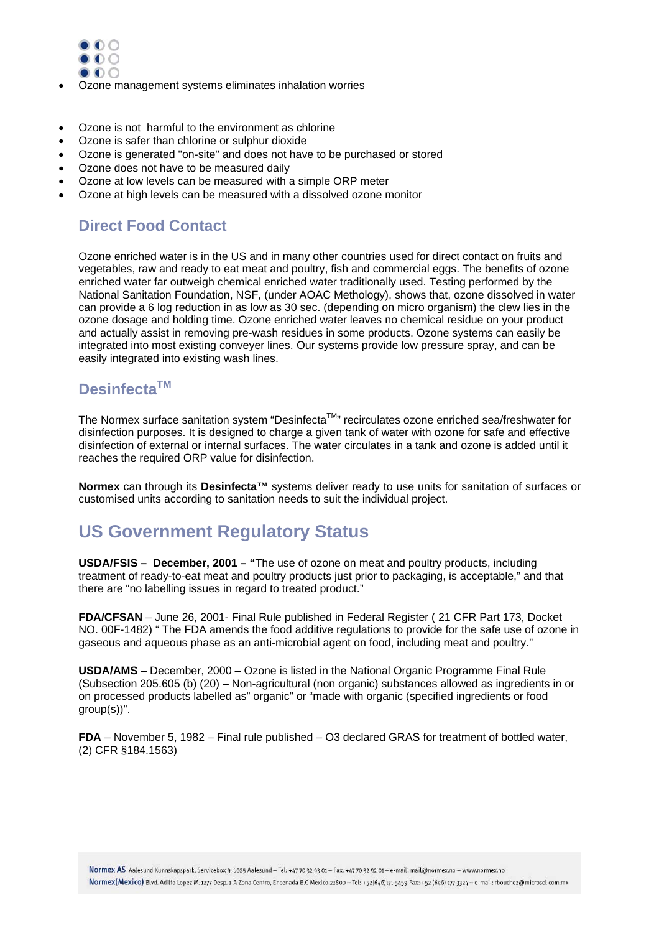

- Ozone management systems eliminates inhalation worries
- Ozone is not harmful to the environment as chlorine
- Ozone is safer than chlorine or sulphur dioxide
- Ozone is generated "on-site" and does not have to be purchased or stored
- Ozone does not have to be measured daily
- Ozone at low levels can be measured with a simple ORP meter
- Ozone at high levels can be measured with a dissolved ozone monitor

## **Direct Food Contact**

Ozone enriched water is in the US and in many other countries used for direct contact on fruits and vegetables, raw and ready to eat meat and poultry, fish and commercial eggs. The benefits of ozone enriched water far outweigh chemical enriched water traditionally used. Testing performed by the National Sanitation Foundation, NSF, (under AOAC Methology), shows that, ozone dissolved in water can provide a 6 log reduction in as low as 30 sec. (depending on micro organism) the clew lies in the ozone dosage and holding time. Ozone enriched water leaves no chemical residue on your product and actually assist in removing pre-wash residues in some products. Ozone systems can easily be integrated into most existing conveyer lines. Our systems provide low pressure spray, and can be easily integrated into existing wash lines.

## **DesinfectaTM**

The Normex surface sanitation system "Desinfecta™" recirculates ozone enriched sea/freshwater for disinfection purposes. It is designed to charge a given tank of water with ozone for safe and effective disinfection of external or internal surfaces. The water circulates in a tank and ozone is added until it reaches the required ORP value for disinfection.

**Normex** can through its **Desinfecta™** systems deliver ready to use units for sanitation of surfaces or customised units according to sanitation needs to suit the individual project.

## **US Government Regulatory Status**

**USDA/FSIS – December, 2001 – "**The use of ozone on meat and poultry products, including treatment of ready-to-eat meat and poultry products just prior to packaging, is acceptable," and that there are "no labelling issues in regard to treated product."

**FDA/CFSAN** – June 26, 2001- Final Rule published in Federal Register ( 21 CFR Part 173, Docket NO. 00F-1482) " The FDA amends the food additive regulations to provide for the safe use of ozone in gaseous and aqueous phase as an anti-microbial agent on food, including meat and poultry."

**USDA/AMS** – December, 2000 – Ozone is listed in the National Organic Programme Final Rule (Subsection 205.605 (b) (20) – Non-agricultural (non organic) substances allowed as ingredients in or on processed products labelled as" organic" or "made with organic (specified ingredients or food group(s))".

**FDA** – November 5, 1982 – Final rule published – O3 declared GRAS for treatment of bottled water, (2) CFR §184.1563)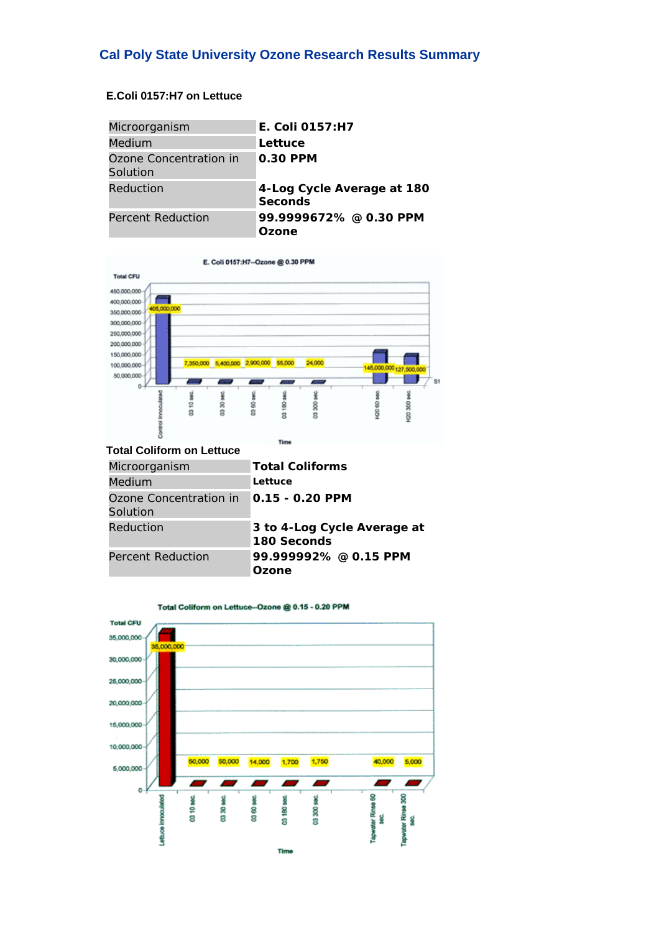## **Cal Poly State University Ozone Research Results Summary**

### **E.Coli 0157:H7 on Lettuce**

| Microorganism                      | E. Coli 0157:H7                       |
|------------------------------------|---------------------------------------|
| <b>Medium</b>                      | Lettuce                               |
| Ozone Concentration in<br>Solution | 0.30 PPM                              |
| Reduction                          | 4-Log Cycle Average at 180<br>Seconds |
| Percent Reduction                  | 99.9999672% @ 0.30 PPM<br>Ozone       |



### **Total Coliform on Lettuce**

| Microorganism                      | <b>Total Coliforms</b>                     |
|------------------------------------|--------------------------------------------|
| Medium                             | Lettuce                                    |
| Ozone Concentration in<br>Solution | 0.15 - 0.20 PPM                            |
| Reduction                          | 3 to 4-Log Cycle Average at<br>180 Seconds |
| Percent Reduction                  | 99.999992% @ 0.15 PPM<br>Ozone             |



Total Coliform on Lettuce-Ozone @ 0.15 - 0.20 PPM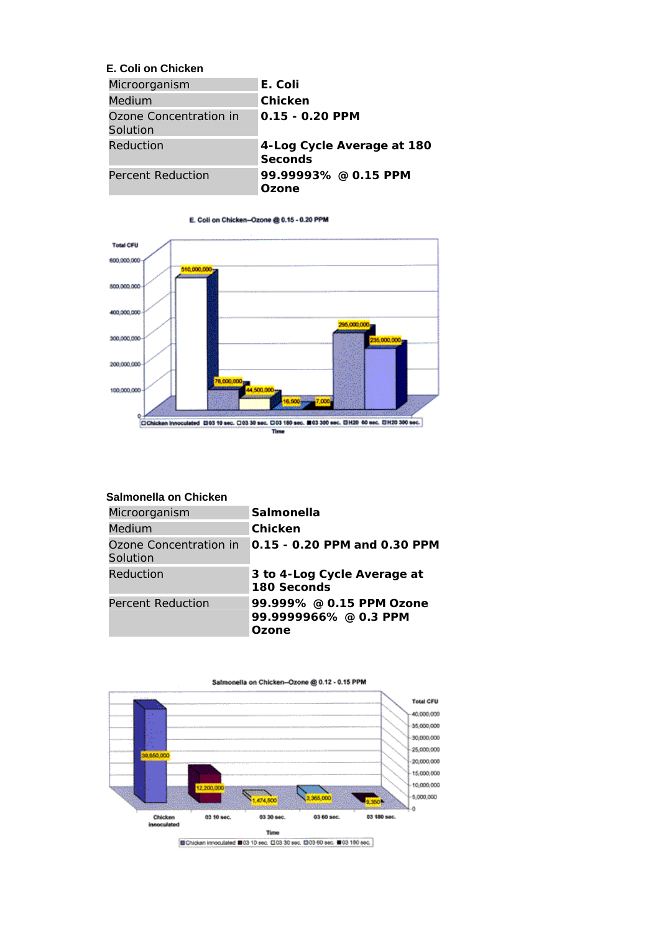### **E. Coli on Chicken**

| Microorganism                      | E. Coli                                      |
|------------------------------------|----------------------------------------------|
| Medium                             | Chicken                                      |
| Ozone Concentration in<br>Solution | 0.15 - 0.20 PPM                              |
| Reduction                          | 4-Log Cycle Average at 180<br><b>Seconds</b> |
| Percent Reduction                  | 99.99993% @ 0.15 PPM<br>Ozone                |





### **Salmonella on Chicken**

| Microorganism                      | Salmonella                                                 |
|------------------------------------|------------------------------------------------------------|
| Medium                             | Chicken                                                    |
| Ozone Concentration in<br>Solution | 0.15 - 0.20 PPM and 0.30 PPM                               |
| Reduction                          | 3 to 4-Log Cycle Average at<br>180 Seconds                 |
| Percent Reduction                  | 99.999% @ 0.15 PPM Ozone<br>99.9999966% @ 0.3 PPM<br>Ozone |

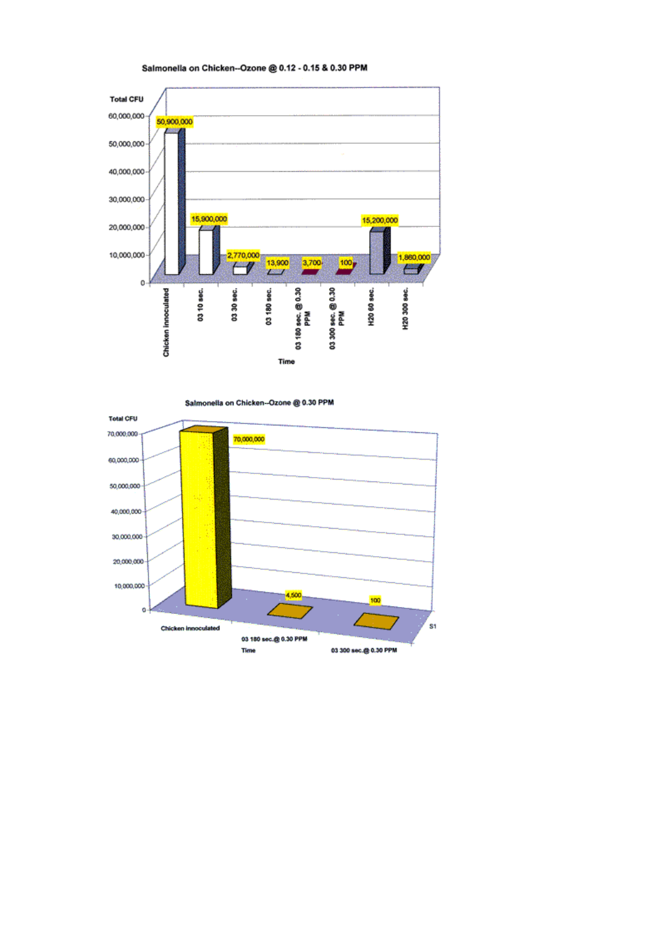

Salmonella on Chicken--Ozone @ 0.30 PPM



### Salmonella on Chicken--Ozone @ 0.12 - 0.15 & 0.30 PPM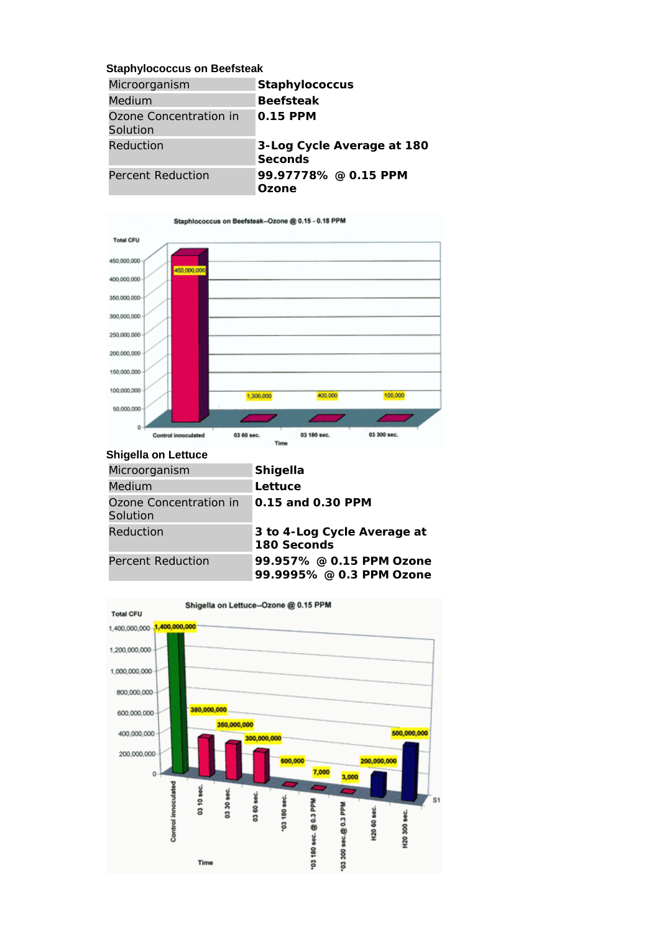### **Staphylococcus on Beefsteak**

| Microorganism                      | <b>Staphylococcus</b>                        |
|------------------------------------|----------------------------------------------|
| <b>Medium</b>                      | <b>Beefsteak</b>                             |
| Ozone Concentration in<br>Solution | $0.15$ PPM                                   |
| Reduction                          | 3-Log Cycle Average at 180<br><b>Seconds</b> |
| Percent Reduction                  | 99.97778% @ 0.15 PPM<br>Ozone                |



### **Shigella on Lettuce**

| Microorganism                      | <b>Shigella</b>                                      |
|------------------------------------|------------------------------------------------------|
| Medium                             | Lettuce                                              |
| Ozone Concentration in<br>Solution | 0.15 and 0.30 PPM                                    |
| Reduction                          | 3 to 4-Log Cycle Average at<br>180 Seconds           |
| Percent Reduction                  | 99.957% @ 0.15 PPM Ozone<br>99.9995% @ 0.3 PPM Ozone |

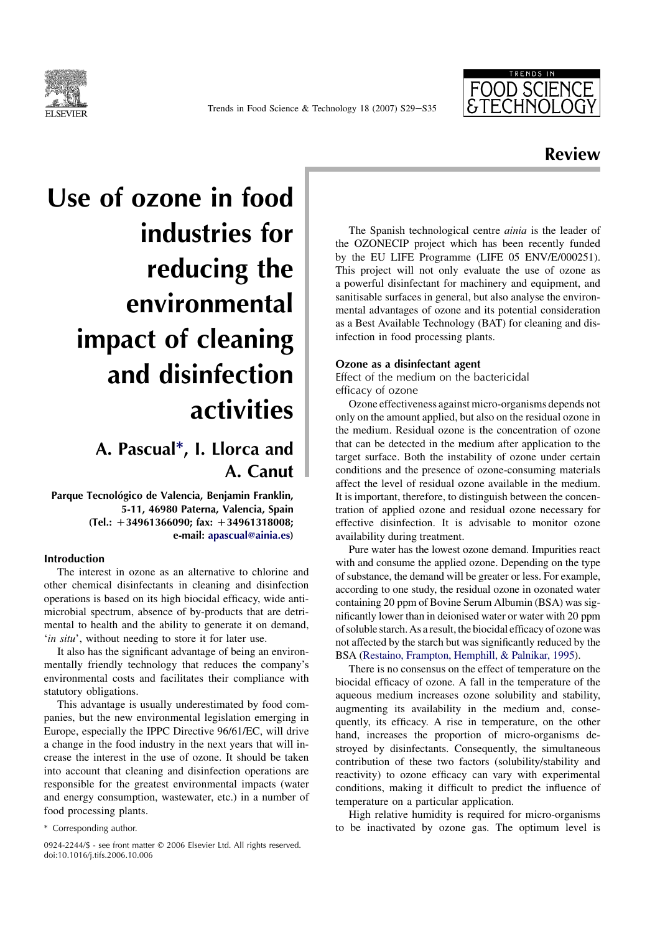

Trends in Food Science & Technology 18 (2007) S29-S35



## Review

# Use of ozone in food industries for reducing the environmental impact of cleaning and disinfection activities

## A. Pascual\*, I. Llorca and A. Canut

Parque Tecnológico de Valencia, Benjamin Franklin, 5-11, 46980 Paterna, Valencia, Spain  $(Tel.: +34961366090;$  fax:  $+34961318008;$ e-mail: apascual@ainia.es)

### Introduction

The interest in ozone as an alternative to chlorine and other chemical disinfectants in cleaning and disinfection operations is based on its high biocidal efficacy, wide antimicrobial spectrum, absence of by-products that are detrimental to health and the ability to generate it on demand, 'in situ', without needing to store it for later use.

It also has the significant advantage of being an environmentally friendly technology that reduces the company's environmental costs and facilitates their compliance with statutory obligations.

This advantage is usually underestimated by food companies, but the new environmental legislation emerging in Europe, especially the IPPC Directive 96/61/EC, will drive a change in the food industry in the next years that will increase the interest in the use of ozone. It should be taken into account that cleaning and disinfection operations are responsible for the greatest environmental impacts (water and energy consumption, wastewater, etc.) in a number of food processing plants.

0924-2244/\$ - see front matter © 2006 Elsevier Ltd. All rights reserved. doi:10.1016/j.tifs.2006.10.006

The Spanish technological centre *ainia* is the leader of the OZONECIP project which has been recently funded by the EU LIFE Programme (LIFE 05 ENV/E/000251). This project will not only evaluate the use of ozone as a powerful disinfectant for machinery and equipment, and sanitisable surfaces in general, but also analyse the environmental advantages of ozone and its potential consideration as a Best Available Technology (BAT) for cleaning and disinfection in food processing plants.

### Ozone as a disinfectant agent

Effect of the medium on the bactericidal efficacy of ozone

Ozone effectiveness against micro-organisms depends not only on the amount applied, but also on the residual ozone in the medium. Residual ozone is the concentration of ozone that can be detected in the medium after application to the target surface. Both the instability of ozone under certain conditions and the presence of ozone-consuming materials affect the level of residual ozone available in the medium. It is important, therefore, to distinguish between the concentration of applied ozone and residual ozone necessary for effective disinfection. It is advisable to monitor ozone availability during treatment.

Pure water has the lowest ozone demand. Impurities react with and consume the applied ozone. Depending on the type of substance, the demand will be greater or less. For example, according to one study, the residual ozone in ozonated water containing 20 ppm of Bovine Serum Albumin (BSA) was significantly lower than in deionised water or water with 20 ppm of soluble starch. As a result, the biocidal efficacy of ozone was not affected by the starch but was significantly reduced by the BSA [\(Restaino, Frampton, Hemphill, & Palnikar, 1995](#page-13-0)).

There is no consensus on the effect of temperature on the biocidal efficacy of ozone. A fall in the temperature of the aqueous medium increases ozone solubility and stability, augmenting its availability in the medium and, consequently, its efficacy. A rise in temperature, on the other hand, increases the proportion of micro-organisms destroyed by disinfectants. Consequently, the simultaneous contribution of these two factors (solubility/stability and reactivity) to ozone efficacy can vary with experimental conditions, making it difficult to predict the influence of temperature on a particular application.

High relative humidity is required for micro-organisms \* Corresponding author. to be inactivated by ozone gas. The optimum level is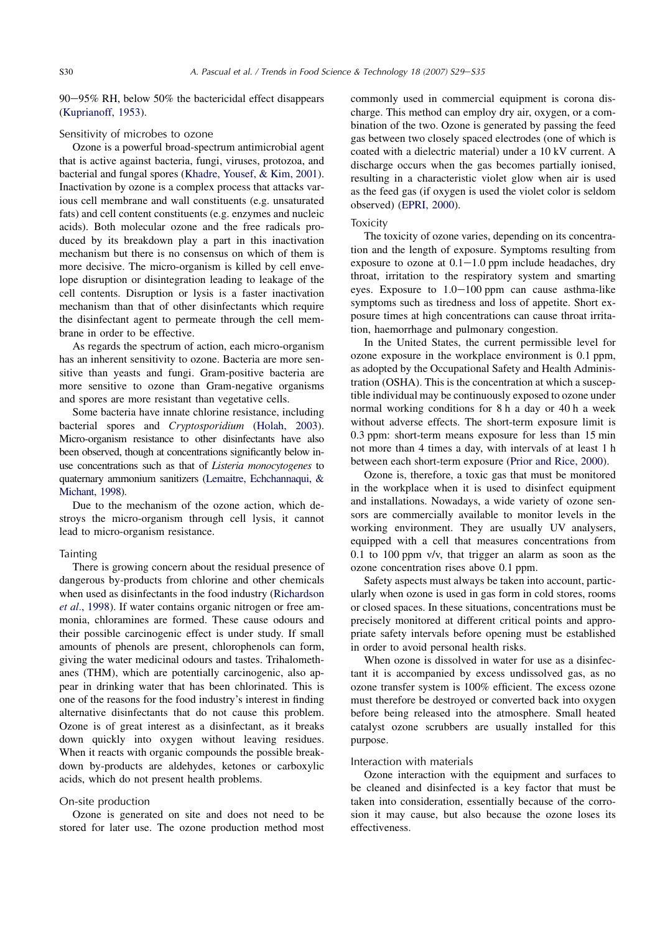$90-95\%$  RH, below 50% the bactericidal effect disappears ([Kuprianoff, 1953\)](#page-13-0).

### Sensitivity of microbes to ozone

Ozone is a powerful broad-spectrum antimicrobial agent that is active against bacteria, fungi, viruses, protozoa, and bacterial and fungal spores ([Khadre, Yousef, & Kim, 2001\)](#page-13-0). Inactivation by ozone is a complex process that attacks various cell membrane and wall constituents (e.g. unsaturated fats) and cell content constituents (e.g. enzymes and nucleic acids). Both molecular ozone and the free radicals produced by its breakdown play a part in this inactivation mechanism but there is no consensus on which of them is more decisive. The micro-organism is killed by cell envelope disruption or disintegration leading to leakage of the cell contents. Disruption or lysis is a faster inactivation mechanism than that of other disinfectants which require the disinfectant agent to permeate through the cell membrane in order to be effective.

As regards the spectrum of action, each micro-organism has an inherent sensitivity to ozone. Bacteria are more sensitive than yeasts and fungi. Gram-positive bacteria are more sensitive to ozone than Gram-negative organisms and spores are more resistant than vegetative cells.

Some bacteria have innate chlorine resistance, including bacterial spores and Cryptosporidium ([Holah, 2003\)](#page-13-0). Micro-organism resistance to other disinfectants have also been observed, though at concentrations significantly below inuse concentrations such as that of Listeria monocytogenes to quaternary ammonium sanitizers [\(Lemaitre, Echchannaqui, &](#page-13-0) [Michant, 1998](#page-13-0)).

Due to the mechanism of the ozone action, which destroys the micro-organism through cell lysis, it cannot lead to micro-organism resistance.

### **Tainting**

There is growing concern about the residual presence of dangerous by-products from chlorine and other chemicals when used as disinfectants in the food industry [\(Richardson](#page-13-0) et al.[, 1998\)](#page-13-0). If water contains organic nitrogen or free ammonia, chloramines are formed. These cause odours and their possible carcinogenic effect is under study. If small amounts of phenols are present, chlorophenols can form, giving the water medicinal odours and tastes. Trihalomethanes (THM), which are potentially carcinogenic, also appear in drinking water that has been chlorinated. This is one of the reasons for the food industry's interest in finding alternative disinfectants that do not cause this problem. Ozone is of great interest as a disinfectant, as it breaks down quickly into oxygen without leaving residues. When it reacts with organic compounds the possible breakdown by-products are aldehydes, ketones or carboxylic acids, which do not present health problems.

### On-site production

Ozone is generated on site and does not need to be stored for later use. The ozone production method most commonly used in commercial equipment is corona discharge. This method can employ dry air, oxygen, or a combination of the two. Ozone is generated by passing the feed gas between two closely spaced electrodes (one of which is coated with a dielectric material) under a 10 kV current. A discharge occurs when the gas becomes partially ionised, resulting in a characteristic violet glow when air is used as the feed gas (if oxygen is used the violet color is seldom observed) [\(EPRI, 2000\)](#page-13-0).

### **Toxicity**

The toxicity of ozone varies, depending on its concentration and the length of exposure. Symptoms resulting from exposure to ozone at  $0.1-1.0$  ppm include headaches, dry throat, irritation to the respiratory system and smarting eyes. Exposure to  $1.0-100$  ppm can cause asthma-like symptoms such as tiredness and loss of appetite. Short exposure times at high concentrations can cause throat irritation, haemorrhage and pulmonary congestion.

In the United States, the current permissible level for ozone exposure in the workplace environment is 0.1 ppm, as adopted by the Occupational Safety and Health Administration (OSHA). This is the concentration at which a susceptible individual may be continuously exposed to ozone under normal working conditions for 8 h a day or 40 h a week without adverse effects. The short-term exposure limit is 0.3 ppm: short-term means exposure for less than 15 min not more than 4 times a day, with intervals of at least 1 h between each short-term exposure [\(Prior and Rice, 2000](#page-13-0)).

Ozone is, therefore, a toxic gas that must be monitored in the workplace when it is used to disinfect equipment and installations. Nowadays, a wide variety of ozone sensors are commercially available to monitor levels in the working environment. They are usually UV analysers, equipped with a cell that measures concentrations from 0.1 to 100 ppm v/v, that trigger an alarm as soon as the ozone concentration rises above 0.1 ppm.

Safety aspects must always be taken into account, particularly when ozone is used in gas form in cold stores, rooms or closed spaces. In these situations, concentrations must be precisely monitored at different critical points and appropriate safety intervals before opening must be established in order to avoid personal health risks.

When ozone is dissolved in water for use as a disinfectant it is accompanied by excess undissolved gas, as no ozone transfer system is 100% efficient. The excess ozone must therefore be destroyed or converted back into oxygen before being released into the atmosphere. Small heated catalyst ozone scrubbers are usually installed for this purpose.

### Interaction with materials

Ozone interaction with the equipment and surfaces to be cleaned and disinfected is a key factor that must be taken into consideration, essentially because of the corrosion it may cause, but also because the ozone loses its effectiveness.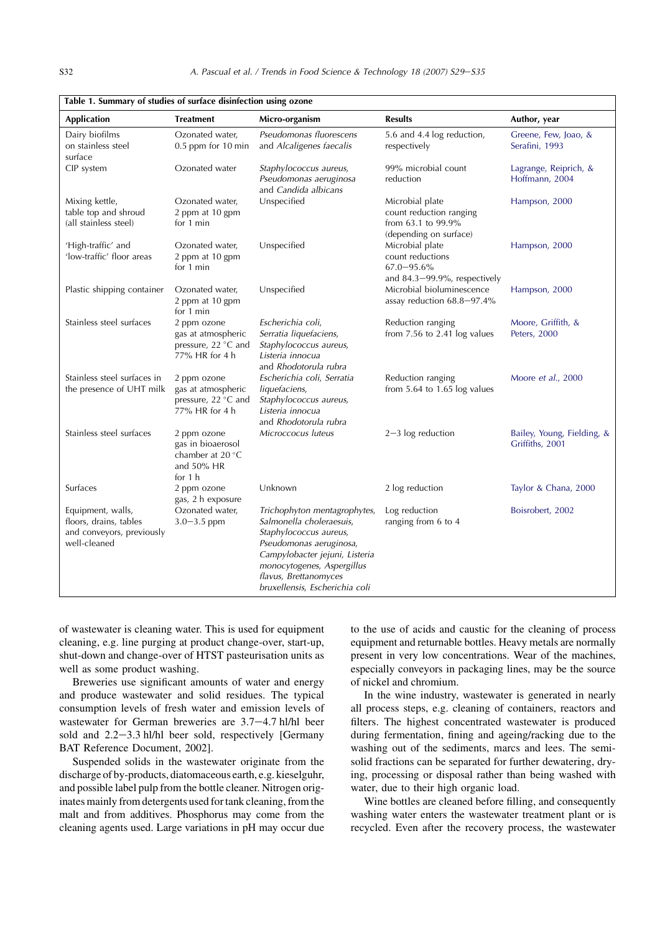<span id="page-9-0"></span>

| <b>Application</b>                                                                       | <b>Treatment</b>                                                                  | Micro-organism                                                                                                                                                                                                                           | <b>Results</b>                                                                                | Author, year                                  |
|------------------------------------------------------------------------------------------|-----------------------------------------------------------------------------------|------------------------------------------------------------------------------------------------------------------------------------------------------------------------------------------------------------------------------------------|-----------------------------------------------------------------------------------------------|-----------------------------------------------|
| Dairy biofilms                                                                           | Ozonated water,                                                                   | Pseudomonas fluorescens                                                                                                                                                                                                                  | 5.6 and 4.4 log reduction,                                                                    | Greene, Few, Joao, &                          |
| on stainless steel                                                                       | $0.5$ ppm for 10 min                                                              | and Alcaligenes faecalis                                                                                                                                                                                                                 | respectively                                                                                  | Serafini, 1993                                |
| surface                                                                                  |                                                                                   |                                                                                                                                                                                                                                          |                                                                                               |                                               |
| CIP system                                                                               | Ozonated water                                                                    | Staphylococcus aureus,<br>Pseudomonas aeruginosa<br>and Candida albicans                                                                                                                                                                 | 99% microbial count<br>reduction                                                              | Lagrange, Reiprich, &<br>Hoffmann, 2004       |
| Mixing kettle,                                                                           | Ozonated water,                                                                   | Unspecified                                                                                                                                                                                                                              | Microbial plate                                                                               | Hampson, 2000                                 |
| table top and shroud<br>(all stainless steel)                                            | 2 ppm at 10 gpm<br>for 1 min                                                      |                                                                                                                                                                                                                                          | count reduction ranging<br>from 63.1 to 99.9%<br>(depending on surface)                       |                                               |
| 'High-traffic' and                                                                       | Ozonated water,                                                                   | Unspecified                                                                                                                                                                                                                              | Microbial plate                                                                               | Hampson, 2000                                 |
| 'low-traffic' floor areas                                                                | 2 ppm at 10 gpm<br>for 1 min                                                      |                                                                                                                                                                                                                                          | count reductions<br>$67.0 - 95.6\%$                                                           |                                               |
| Plastic shipping container                                                               | Ozonated water,<br>2 ppm at 10 gpm<br>for 1 min                                   | Unspecified                                                                                                                                                                                                                              | and $84.3 - 99.9\%$ , respectively<br>Microbial bioluminescence<br>assay reduction 68.8-97.4% | Hampson, 2000                                 |
| Stainless steel surfaces                                                                 | 2 ppm ozone                                                                       | Escherichia coli,                                                                                                                                                                                                                        | Reduction ranging                                                                             | Moore, Griffith, &                            |
|                                                                                          | gas at atmospheric<br>pressure, 22 °C and<br>77% HR for 4 h                       | Serratia liquefaciens,<br>Staphylococcus aureus,<br>Listeria innocua<br>and Rhodotorula rubra                                                                                                                                            | from 7.56 to 2.41 log values                                                                  | Peters, 2000                                  |
| Stainless steel surfaces in<br>the presence of UHT milk                                  | 2 ppm ozone<br>gas at atmospheric<br>pressure, 22 °C and<br>77% HR for 4 h        | Escherichia coli, Serratia<br>liquefaciens,<br>Staphylococcus aureus,<br>Listeria innocua<br>and Rhodotorula rubra                                                                                                                       | Reduction ranging<br>from 5.64 to 1.65 log values                                             | Moore et al., 2000                            |
| Stainless steel surfaces                                                                 | 2 ppm ozone<br>gas in bioaerosol<br>chamber at 20 °C<br>and $50\%$ HR<br>for $1h$ | Microccocus luteus                                                                                                                                                                                                                       | $2-3$ log reduction                                                                           | Bailey, Young, Fielding, &<br>Griffiths, 2001 |
| Surfaces                                                                                 | 2 ppm ozone<br>gas, 2 h exposure                                                  | Unknown                                                                                                                                                                                                                                  | 2 log reduction                                                                               | Taylor & Chana, 2000                          |
| Equipment, walls,<br>floors, drains, tables<br>and conveyors, previously<br>well-cleaned | Ozonated water,<br>$3.0 - 3.5$ ppm                                                | Trichophyton mentagrophytes,<br>Salmonella choleraesuis,<br>Staphylococcus aureus,<br>Pseudomonas aeruginosa,<br>Campylobacter jejuni, Listeria<br>monocytogenes, Aspergillus<br>flavus, Brettanomyces<br>bruxellensis, Escherichia coli | Log reduction<br>ranging from 6 to 4                                                          | Boisrobert, 2002                              |

of wastewater is cleaning water. This is used for equipment cleaning, e.g. line purging at product change-over, start-up, shut-down and change-over of HTST pasteurisation units as well as some product washing.

Breweries use significant amounts of water and energy and produce wastewater and solid residues. The typical consumption levels of fresh water and emission levels of wastewater for German breweries are  $3.7-4.7$  hl/hl beer sold and  $2.2-3.3$  hl/hl beer sold, respectively [Germany BAT Reference Document, 2002].

Suspended solids in the wastewater originate from the discharge of by-products, diatomaceous earth, e.g. kieselguhr, and possible label pulp from the bottle cleaner. Nitrogen originates mainly from detergents used for tank cleaning, from the malt and from additives. Phosphorus may come from the cleaning agents used. Large variations in pH may occur due

to the use of acids and caustic for the cleaning of process equipment and returnable bottles. Heavy metals are normally present in very low concentrations. Wear of the machines, especially conveyors in packaging lines, may be the source of nickel and chromium.

In the wine industry, wastewater is generated in nearly all process steps, e.g. cleaning of containers, reactors and filters. The highest concentrated wastewater is produced during fermentation, fining and ageing/racking due to the washing out of the sediments, marcs and lees. The semisolid fractions can be separated for further dewatering, drying, processing or disposal rather than being washed with water, due to their high organic load.

Wine bottles are cleaned before filling, and consequently washing water enters the wastewater treatment plant or is recycled. Even after the recovery process, the wastewater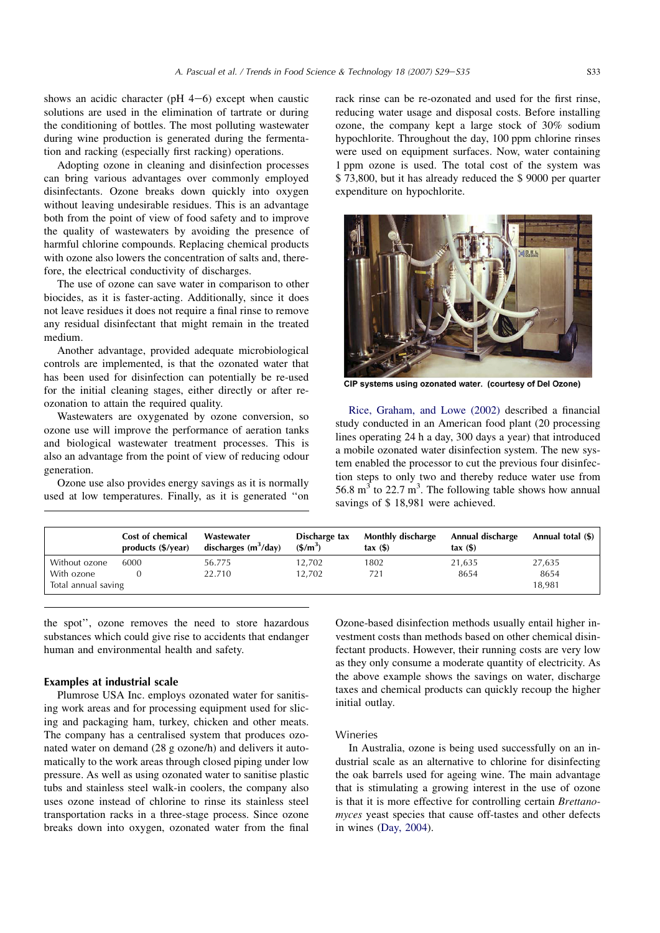shows an acidic character (pH  $4-6$ ) except when caustic solutions are used in the elimination of tartrate or during the conditioning of bottles. The most polluting wastewater during wine production is generated during the fermentation and racking (especially first racking) operations.

Adopting ozone in cleaning and disinfection processes can bring various advantages over commonly employed disinfectants. Ozone breaks down quickly into oxygen without leaving undesirable residues. This is an advantage both from the point of view of food safety and to improve the quality of wastewaters by avoiding the presence of harmful chlorine compounds. Replacing chemical products with ozone also lowers the concentration of salts and, therefore, the electrical conductivity of discharges.

The use of ozone can save water in comparison to other biocides, as it is faster-acting. Additionally, since it does not leave residues it does not require a final rinse to remove any residual disinfectant that might remain in the treated medium.

Another advantage, provided adequate microbiological controls are implemented, is that the ozonated water that has been used for disinfection can potentially be re-used for the initial cleaning stages, either directly or after reozonation to attain the required quality.

Wastewaters are oxygenated by ozone conversion, so ozone use will improve the performance of aeration tanks and biological wastewater treatment processes. This is also an advantage from the point of view of reducing odour generation.

Ozone use also provides energy savings as it is normally used at low temperatures. Finally, as it is generated ''on rack rinse can be re-ozonated and used for the first rinse, reducing water usage and disposal costs. Before installing ozone, the company kept a large stock of 30% sodium hypochlorite. Throughout the day, 100 ppm chlorine rinses were used on equipment surfaces. Now, water containing 1 ppm ozone is used. The total cost of the system was \$ 73,800, but it has already reduced the \$ 9000 per quarter expenditure on hypochlorite.



CIP systems using ozonated water. (courtesy of Del Ozone)

[Rice, Graham, and Lowe \(2002\)](#page-13-0) described a financial study conducted in an American food plant (20 processing lines operating 24 h a day, 300 days a year) that introduced a mobile ozonated water disinfection system. The new system enabled the processor to cut the previous four disinfection steps to only two and thereby reduce water use from 56.8  $m<sup>3</sup>$  to 22.7 m<sup>3</sup>. The following table shows how annual savings of \$ 18,981 were achieved.

|                     | Cost of chemical<br>products (\$/year) | Wastewater<br>discharges $(m^3/day)$ | Discharge tax<br>$(S/m^3)$ | Monthly discharge<br>$\text{tax}(\$)$ | Annual discharge<br>$\text{tax}(\$)$ | Annual total (\$) |
|---------------------|----------------------------------------|--------------------------------------|----------------------------|---------------------------------------|--------------------------------------|-------------------|
| Without ozone       | 6000                                   | 56.775                               | 12.702                     | 1802                                  | 21,635                               | 27,635            |
| With ozone          |                                        | 22.710                               | 12.702                     | 721                                   | 8654                                 | 8654              |
| Total annual saving |                                        |                                      |                            |                                       |                                      | 18,981            |

the spot'', ozone removes the need to store hazardous substances which could give rise to accidents that endanger human and environmental health and safety.

### Examples at industrial scale

Plumrose USA Inc. employs ozonated water for sanitising work areas and for processing equipment used for slicing and packaging ham, turkey, chicken and other meats. The company has a centralised system that produces ozonated water on demand (28 g ozone/h) and delivers it automatically to the work areas through closed piping under low pressure. As well as using ozonated water to sanitise plastic tubs and stainless steel walk-in coolers, the company also uses ozone instead of chlorine to rinse its stainless steel transportation racks in a three-stage process. Since ozone breaks down into oxygen, ozonated water from the final Ozone-based disinfection methods usually entail higher investment costs than methods based on other chemical disinfectant products. However, their running costs are very low as they only consume a moderate quantity of electricity. As the above example shows the savings on water, discharge taxes and chemical products can quickly recoup the higher initial outlay.

### Wineries

In Australia, ozone is being used successfully on an industrial scale as an alternative to chlorine for disinfecting the oak barrels used for ageing wine. The main advantage that is stimulating a growing interest in the use of ozone is that it is more effective for controlling certain Brettanomyces yeast species that cause off-tastes and other defects in wines ([Day, 2004\)](#page-13-0).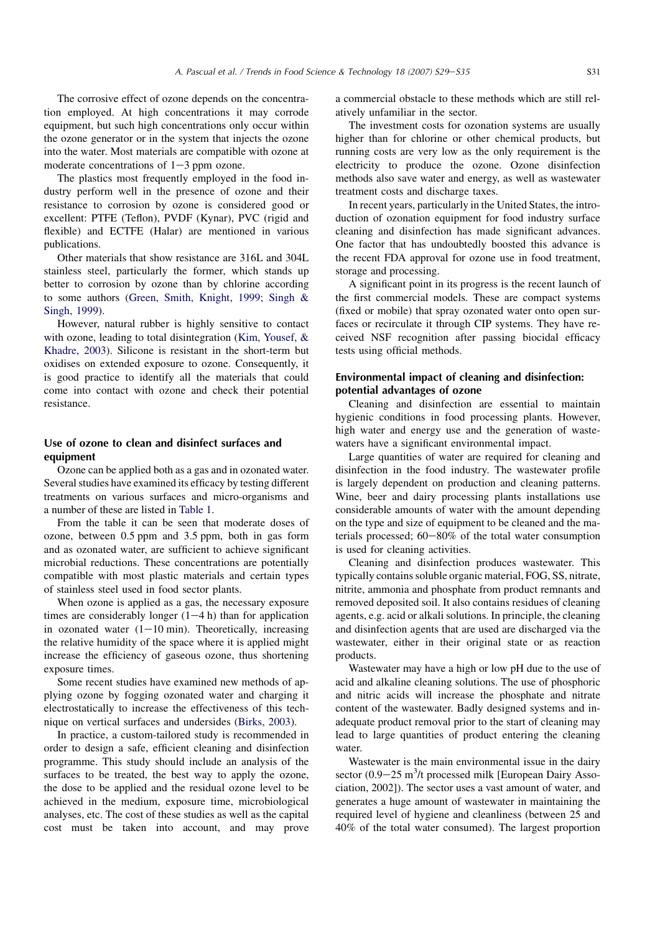The corrosive effect of ozone depends on the concentration employed. At high concentrations it may corrode equipment, but such high concentrations only occur within the ozone generator or in the system that injects the ozone into the water. Most materials are compatible with ozone at moderate concentrations of  $1-3$  ppm ozone.

The plastics most frequently employed in the food industry perform well in the presence of ozone and their resistance to corrosion by ozone is considered good or excellent: PTFE (Teflon), PVDF (Kynar), PVC (rigid and flexible) and ECTFE (Halar) are mentioned in various publications.

Other materials that show resistance are 316L and 304L stainless steel, particularly the former, which stands up better to corrosion by ozone than by chlorine according to some authors [\(Green, Smith, Knight, 1999; Singh &](#page-13-0) [Singh, 1999\)](#page-13-0).

However, natural rubber is highly sensitive to contact with ozone, leading to total disintegration ([Kim, Yousef, &](#page-13-0) [Khadre, 2003\)](#page-13-0). Silicone is resistant in the short-term but oxidises on extended exposure to ozone. Consequently, it is good practice to identify all the materials that could come into contact with ozone and check their potential resistance.

### Use of ozone to clean and disinfect surfaces and equipment

Ozone can be applied both as a gas and in ozonated water. Several studies have examined its efficacy by testing different treatments on various surfaces and micro-organisms and a number of these are listed in [Table 1.](#page-9-0)

From the table it can be seen that moderate doses of ozone, between 0.5 ppm and 3.5 ppm, both in gas form and as ozonated water, are sufficient to achieve significant microbial reductions. These concentrations are potentially compatible with most plastic materials and certain types of stainless steel used in food sector plants.

When ozone is applied as a gas, the necessary exposure times are considerably longer  $(1-4 h)$  than for application in ozonated water  $(1-10 \text{ min})$ . Theoretically, increasing the relative humidity of the space where it is applied might increase the efficiency of gaseous ozone, thus shortening exposure times.

Some recent studies have examined new methods of applying ozone by fogging ozonated water and charging it electrostatically to increase the effectiveness of this technique on vertical surfaces and undersides ([Birks, 2003](#page-13-0)).

In practice, a custom-tailored study is recommended in order to design a safe, efficient cleaning and disinfection programme. This study should include an analysis of the surfaces to be treated, the best way to apply the ozone, the dose to be applied and the residual ozone level to be achieved in the medium, exposure time, microbiological analyses, etc. The cost of these studies as well as the capital cost must be taken into account, and may prove a commercial obstacle to these methods which are still relatively unfamiliar in the sector.

The investment costs for ozonation systems are usually higher than for chlorine or other chemical products, but running costs are very low as the only requirement is the electricity to produce the ozone. Ozone disinfection methods also save water and energy, as well as wastewater treatment costs and discharge taxes.

In recent years, particularly in the United States, the introduction of ozonation equipment for food industry surface cleaning and disinfection has made significant advances. One factor that has undoubtedly boosted this advance is the recent FDA approval for ozone use in food treatment, storage and processing.

A significant point in its progress is the recent launch of the first commercial models. These are compact systems (fixed or mobile) that spray ozonated water onto open surfaces or recirculate it through CIP systems. They have received NSF recognition after passing biocidal efficacy tests using official methods.

### Environmental impact of cleaning and disinfection: potential advantages of ozone

Cleaning and disinfection are essential to maintain hygienic conditions in food processing plants. However, high water and energy use and the generation of wastewaters have a significant environmental impact.

Large quantities of water are required for cleaning and disinfection in the food industry. The wastewater profile is largely dependent on production and cleaning patterns. Wine, beer and dairy processing plants installations use considerable amounts of water with the amount depending on the type and size of equipment to be cleaned and the materials processed;  $60-80\%$  of the total water consumption is used for cleaning activities.

Cleaning and disinfection produces wastewater. This typically contains soluble organic material, FOG, SS, nitrate, nitrite, ammonia and phosphate from product remnants and removed deposited soil. It also contains residues of cleaning agents, e.g. acid or alkali solutions. In principle, the cleaning and disinfection agents that are used are discharged via the wastewater, either in their original state or as reaction products.

Wastewater may have a high or low pH due to the use of acid and alkaline cleaning solutions. The use of phosphoric and nitric acids will increase the phosphate and nitrate content of the wastewater. Badly designed systems and inadequate product removal prior to the start of cleaning may lead to large quantities of product entering the cleaning water

Wastewater is the main environmental issue in the dairy sector  $(0.9-25 \text{ m}^3)t$  processed milk [European Dairy Association, 2002]). The sector uses a vast amount of water, and generates a huge amount of wastewater in maintaining the required level of hygiene and cleanliness (between 25 and 40% of the total water consumed). The largest proportion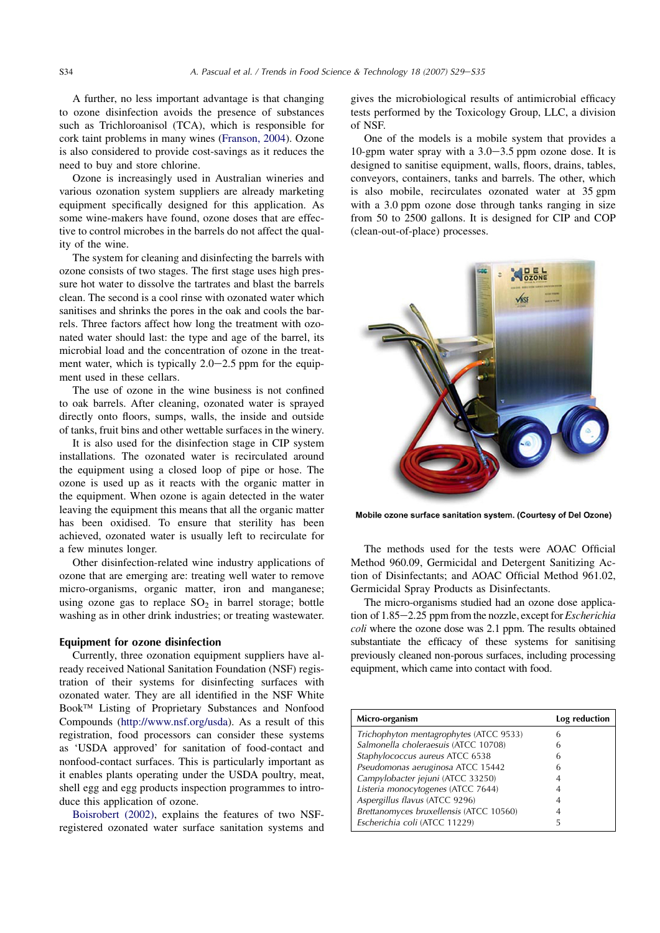A further, no less important advantage is that changing to ozone disinfection avoids the presence of substances such as Trichloroanisol (TCA), which is responsible for cork taint problems in many wines [\(Franson, 2004\)](#page-13-0). Ozone is also considered to provide cost-savings as it reduces the need to buy and store chlorine.

Ozone is increasingly used in Australian wineries and various ozonation system suppliers are already marketing equipment specifically designed for this application. As some wine-makers have found, ozone doses that are effective to control microbes in the barrels do not affect the quality of the wine.

The system for cleaning and disinfecting the barrels with ozone consists of two stages. The first stage uses high pressure hot water to dissolve the tartrates and blast the barrels clean. The second is a cool rinse with ozonated water which sanitises and shrinks the pores in the oak and cools the barrels. Three factors affect how long the treatment with ozonated water should last: the type and age of the barrel, its microbial load and the concentration of ozone in the treatment water, which is typically  $2.0-2.5$  ppm for the equipment used in these cellars.

The use of ozone in the wine business is not confined to oak barrels. After cleaning, ozonated water is sprayed directly onto floors, sumps, walls, the inside and outside of tanks, fruit bins and other wettable surfaces in the winery.

It is also used for the disinfection stage in CIP system installations. The ozonated water is recirculated around the equipment using a closed loop of pipe or hose. The ozone is used up as it reacts with the organic matter in the equipment. When ozone is again detected in the water leaving the equipment this means that all the organic matter has been oxidised. To ensure that sterility has been achieved, ozonated water is usually left to recirculate for a few minutes longer.

Other disinfection-related wine industry applications of ozone that are emerging are: treating well water to remove micro-organisms, organic matter, iron and manganese; using ozone gas to replace  $SO<sub>2</sub>$  in barrel storage; bottle washing as in other drink industries; or treating wastewater.

### Equipment for ozone disinfection

Currently, three ozonation equipment suppliers have already received National Sanitation Foundation (NSF) registration of their systems for disinfecting surfaces with ozonated water. They are all identified in the NSF White Book<sup>TM</sup> Listing of Proprietary Substances and Nonfood Compounds [\(http://www.nsf.org/usda\)](http://www.nsf.org/usda). As a result of this registration, food processors can consider these systems as 'USDA approved' for sanitation of food-contact and nonfood-contact surfaces. This is particularly important as it enables plants operating under the USDA poultry, meat, shell egg and egg products inspection programmes to introduce this application of ozone.

[Boisrobert \(2002\)](#page-13-0), explains the features of two NSFregistered ozonated water surface sanitation systems and gives the microbiological results of antimicrobial efficacy tests performed by the Toxicology Group, LLC, a division of NSF.

One of the models is a mobile system that provides a 10-gpm water spray with a  $3.0-3.5$  ppm ozone dose. It is designed to sanitise equipment, walls, floors, drains, tables, conveyors, containers, tanks and barrels. The other, which is also mobile, recirculates ozonated water at 35 gpm with a 3.0 ppm ozone dose through tanks ranging in size from 50 to 2500 gallons. It is designed for CIP and COP (clean-out-of-place) processes.



Mobile ozone surface sanitation system. (Courtesy of Del Ozone)

The methods used for the tests were AOAC Official Method 960.09, Germicidal and Detergent Sanitizing Action of Disinfectants; and AOAC Official Method 961.02, Germicidal Spray Products as Disinfectants.

The micro-organisms studied had an ozone dose application of  $1.85-2.25$  ppm from the nozzle, except for *Escherichia* coli where the ozone dose was 2.1 ppm. The results obtained substantiate the efficacy of these systems for sanitising previously cleaned non-porous surfaces, including processing equipment, which came into contact with food.

| Micro-organism                          | Log reduction |
|-----------------------------------------|---------------|
| Trichophyton mentagrophytes (ATCC 9533) |               |
| Salmonella choleraesuis (ATCC 10708)    | h             |
| Staphylococcus aureus ATCC 6538         | 6             |
| Pseudomonas aeruginosa ATCC 15442       |               |
| Campylobacter jejuni (ATCC 33250)       |               |
| Listeria monocytogenes (ATCC 7644)      |               |
| Aspergillus flavus (ATCC 9296)          |               |
| Brettanomyces bruxellensis (ATCC 10560) |               |
| Escherichia coli (ATCC 11229)           |               |